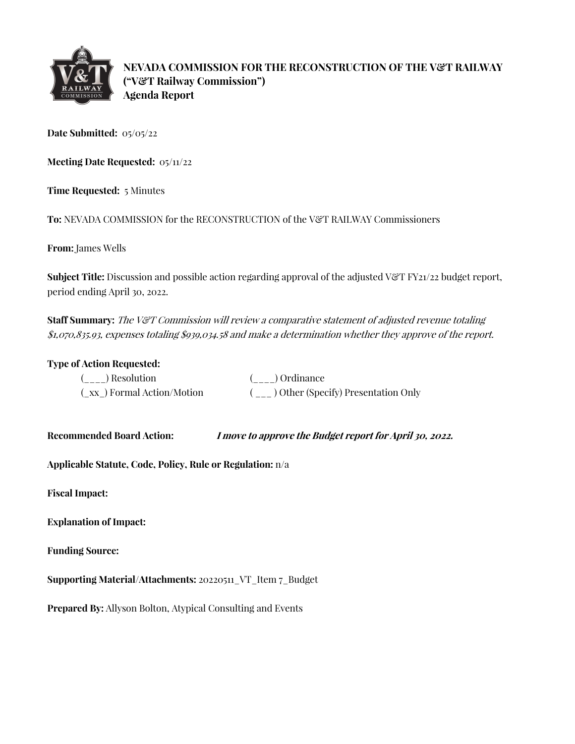

**NEVADA COMMISSION FOR THE RECONSTRUCTION OF THE V&T RAILWAY ("V&T Railway Commission") Agenda Report**

**Date Submitted:** 05/05/22

**Meeting Date Requested:** 05/11/22

**Time Requested:** 5 Minutes

**To:** NEVADA COMMISSION for the RECONSTRUCTION of the V&T RAILWAY Commissioners

**From:** James Wells

**Subject Title:** Discussion and possible action regarding approval of the adjusted V&T FY21/22 budget report, period ending April 30, 2022.

**Staff Summary:** The V&T Commission will review a comparative statement of adjusted revenue totaling \$1,070,835.93, expenses totaling \$939,034.58 and make a determination whether they approve of the report.

## **Type of Action Requested:**

| ( ) Resolution            | ( ) Ordinance                         |
|---------------------------|---------------------------------------|
| (xx) Formal Action/Motion | ( ) Other (Specify) Presentation Only |

**Recommended Board Action: I move to approve the Budget report for April 30, 2022.** 

**Applicable Statute, Code, Policy, Rule or Regulation:** n/a

**Fiscal Impact:**

**Explanation of Impact:**

**Funding Source:**

**Supporting Material/Attachments:** 20220511\_VT\_Item 7\_Budget

**Prepared By:** Allyson Bolton, Atypical Consulting and Events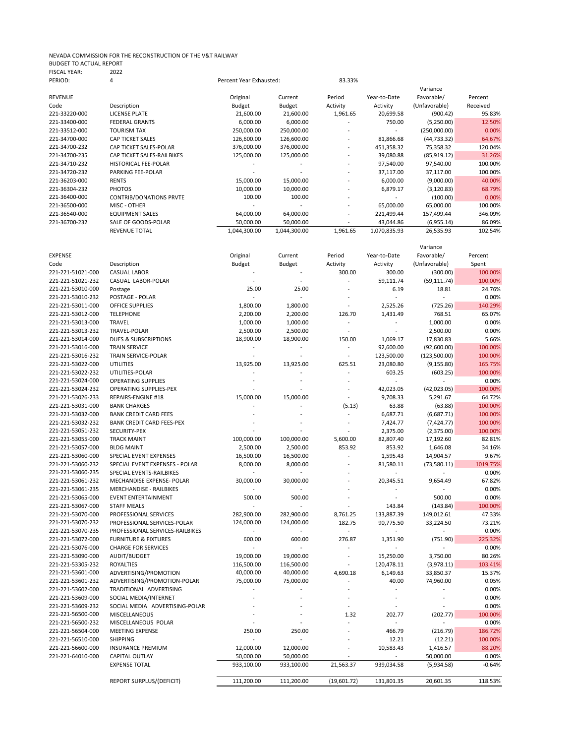## NEVADA COMMISSION FOR THE RECONSTRUCTION OF THE V&T RAILWAY BUDGET TO ACTUAL REPORT FISCAL YEAR: 2022

| PERIOD:        | 4                              | Percent Year Exhausted: |              | 83.33%                   |              |               |          |
|----------------|--------------------------------|-------------------------|--------------|--------------------------|--------------|---------------|----------|
|                |                                |                         |              |                          |              | Variance      |          |
| <b>REVENUE</b> |                                | Original                | Current      | Period                   | Year-to-Date | Favorable/    | Percent  |
| Code           | Description                    | Budget                  | Budget       | Activity                 | Activity     | (Unfavorable) | Received |
| 221-33220-000  | LICENSE PLATE                  | 21,600.00               | 21,600.00    | 1,961.65                 | 20,699.58    | (900.42)      | 95.83%   |
| 221-33400-000  | <b>FEDERAL GRANTS</b>          | 6,000.00                | 6,000.00     |                          | 750.00       | (5,250.00)    | 12.50%   |
| 221-33512-000  | <b>TOURISM TAX</b>             | 250,000.00              | 250,000.00   |                          | ٠            | (250,000.00)  | 0.00%    |
| 221-34700-000  | <b>CAP TICKET SALES</b>        | 126,600.00              | 126,600.00   |                          | 81,866.68    | (44, 733.32)  | 64.67%   |
| 221-34700-232  | CAP TICKET SALES-POLAR         | 376,000.00              | 376,000.00   | $\overline{\phantom{a}}$ | 451,358.32   | 75,358.32     | 120.04%  |
| 221-34700-235  | CAP TICKET SALES-RAILBIKES     | 125,000.00              | 125,000.00   |                          | 39,080.88    | (85, 919.12)  | 31.26%   |
| 221-34710-232  | <b>HISTORICAL FEE-POLAR</b>    |                         |              |                          | 97,540.00    | 97,540.00     | 100.00%  |
| 221-34720-232  | PARKING FEE-POLAR              |                         |              | $\overline{\phantom{a}}$ | 37,117.00    | 37,117.00     | 100.00%  |
| 221-36203-000  | <b>RENTS</b>                   | 15,000.00               | 15,000.00    |                          | 6,000.00     | (9,000.00)    | 40.00%   |
| 221-36304-232  | <b>PHOTOS</b>                  | 10,000.00               | 10,000.00    |                          | 6,879.17     | (3, 120.83)   | 68.79%   |
| 221-36400-000  | <b>CONTRIB/DONATIONS PRVTE</b> | 100.00                  | 100.00       |                          |              | (100.00)      | 0.00%    |
| 221-36500-000  | MISC - OTHER                   |                         |              | $\overline{\phantom{m}}$ | 65,000.00    | 65,000.00     | 100.00%  |
| 221-36540-000  | <b>EQUIPMENT SALES</b>         | 64,000.00               | 64,000.00    |                          | 221,499.44   | 157,499.44    | 346.09%  |
| 221-36700-232  | SALE OF GOODS-POLAR            | 50,000.00               | 50,000.00    |                          | 43,044.86    | (6,955.14)    | 86.09%   |
|                | <b>REVENUE TOTAL</b>           | 1,044,300.00            | 1,044,300.00 | 1,961.65                 | 1,070,835.93 | 26,535.93     | 102.54%  |

|                   |                                  |                          |               |                |                          | Variance       |          |
|-------------------|----------------------------------|--------------------------|---------------|----------------|--------------------------|----------------|----------|
| <b>EXPENSE</b>    |                                  | Original                 | Current       | Period         | Year-to-Date             | Favorable/     | Percent  |
| Code              | Description                      | <b>Budget</b>            | <b>Budget</b> | Activity       | Activity                 | (Unfavorable)  | Spent    |
| 221-221-51021-000 | <b>CASUAL LABOR</b>              |                          |               | 300.00         | 300.00                   | (300.00)       | 100.00%  |
| 221-221-51021-232 | CASUAL LABOR-POLAR               |                          |               |                | 59,111.74                | (59, 111.74)   | 100.00%  |
| 221-221-53010-000 | Postage                          | 25.00                    | 25.00         | L.             | 6.19                     | 18.81          | 24.76%   |
| 221-221-53010-232 | POSTAGE - POLAR                  | $\overline{a}$           |               |                | $\overline{\phantom{a}}$ | ÷,             | 0.00%    |
| 221-221-53011-000 | <b>OFFICE SUPPLIES</b>           | 1,800.00                 | 1,800.00      |                | 2,525.26                 | (725.26)       | 140.29%  |
| 221-221-53012-000 | <b>TELEPHONE</b>                 | 2,200.00                 | 2,200.00      | 126.70         | 1,431.49                 | 768.51         | 65.07%   |
| 221-221-53013-000 | <b>TRAVEL</b>                    | 1,000.00                 | 1,000.00      | ÷              |                          | 1,000.00       | 0.00%    |
| 221-221-53013-232 | TRAVEL-POLAR                     | 2,500.00                 | 2,500.00      | ÷,             |                          | 2,500.00       | 0.00%    |
| 221-221-53014-000 | <b>DUES &amp; SUBSCRIPTIONS</b>  | 18,900.00                | 18,900.00     | 150.00         | 1,069.17                 | 17,830.83      | 5.66%    |
| 221-221-53016-000 | <b>TRAIN SERVICE</b>             |                          |               |                | 92,600.00                | (92,600.00)    | 100.00%  |
| 221-221-53016-232 | TRAIN SERVICE-POLAR              | $\overline{\phantom{a}}$ | $\sim$        | L.             | 123,500.00               | (123,500.00)   | 100.00%  |
| 221-221-53022-000 | <b>UTILITIES</b>                 | 13,925.00                | 13,925.00     | 625.51         | 23,080.80                | (9, 155.80)    | 165.75%  |
| 221-221-53022-232 | UTILITIES-POLAR                  |                          |               | L.             | 603.25                   | (603.25)       | 100.00%  |
| 221-221-53024-000 | <b>OPERATING SUPPLIES</b>        |                          |               |                |                          |                | 0.00%    |
| 221-221-53024-232 | OPERATING SUPPLIES-PEX           |                          |               |                | 42,023.05                | (42,023.05)    | 100.00%  |
| 221-221-53026-233 | REPAIRS-ENGINE #18               | 15,000.00                | 15,000.00     | ÷,             | 9,708.33                 | 5,291.67       | 64.72%   |
| 221-221-53031-000 | <b>BANK CHARGES</b>              |                          |               |                | 63.88                    |                | 100.00%  |
|                   |                                  |                          |               | (5.13)         |                          | (63.88)        |          |
| 221-221-53032-000 | <b>BANK CREDIT CARD FEES</b>     |                          |               |                | 6,687.71                 | (6,687.71)     | 100.00%  |
| 221-221-53032-232 | <b>BANK CREDIT CARD FEES-PEX</b> |                          |               | ÷              | 7,424.77                 | (7, 424.77)    | 100.00%  |
| 221-221-53051-232 | <b>SECURITY-PEX</b>              |                          |               |                | 2,375.00                 | (2,375.00)     | 100.00%  |
| 221-221-53055-000 | <b>TRACK MAINT</b>               | 100,000.00               | 100,000.00    | 5,600.00       | 82,807.40                | 17,192.60      | 82.81%   |
| 221-221-53057-000 | <b>BLDG MAINT</b>                | 2,500.00                 | 2,500.00      | 853.92         | 853.92                   | 1,646.08       | 34.16%   |
| 221-221-53060-000 | SPECIAL EVENT EXPENSES           | 16,500.00                | 16,500.00     |                | 1,595.43                 | 14,904.57      | 9.67%    |
| 221-221-53060-232 | SPECIAL EVENT EXPENSES - POLAR   | 8,000.00                 | 8,000.00      |                | 81,580.11                | (73,580.11)    | 1019.75% |
| 221-221-53060-235 | SPECIAL EVENTS-RAILBIKES         |                          |               |                | ÷.                       |                | 0.00%    |
| 221-221-53061-232 | MECHANDISE EXPENSE- POLAR        | 30,000.00                | 30,000.00     |                | 20,345.51                | 9,654.49       | 67.82%   |
| 221-221-53061-235 | <b>MERCHANDISE - RAILBIKES</b>   |                          |               |                |                          |                | 0.00%    |
| 221-221-53065-000 | <b>EVENT ENTERTAINMENT</b>       | 500.00                   | 500.00        |                | ÷.                       | 500.00         | 0.00%    |
| 221-221-53067-000 | <b>STAFF MEALS</b>               |                          |               |                | 143.84                   | (143.84)       | 100.00%  |
| 221-221-53070-000 | PROFESSIONAL SERVICES            | 282,900.00               | 282,900.00    | 8,761.25       | 133,887.39               | 149,012.61     | 47.33%   |
| 221-221-53070-232 | PROFESSIONAL SERVICES-POLAR      | 124,000.00               | 124,000.00    | 182.75         | 90,775.50                | 33,224.50      | 73.21%   |
| 221-221-53070-235 | PROFESSIONAL SERVICES-RAILBIKES  |                          |               | $\overline{a}$ |                          |                | 0.00%    |
| 221-221-53072-000 | <b>FURNITURE &amp; FIXTURES</b>  | 600.00                   | 600.00        | 276.87         | 1,351.90                 | (751.90)       | 225.32%  |
| 221-221-53076-000 | <b>CHARGE FOR SERVICES</b>       |                          |               |                |                          |                | 0.00%    |
| 221-221-53090-000 | AUDIT/BUDGET                     | 19,000.00                | 19,000.00     | L.             | 15,250.00                | 3,750.00       | 80.26%   |
| 221-221-53305-232 | <b>ROYALTIES</b>                 | 116,500.00               | 116,500.00    | ÷,             | 120,478.11               | (3,978.11)     | 103.41%  |
| 221-221-53601-000 | ADVERTISING/PROMOTION            | 40,000.00                | 40,000.00     | 4,690.18       | 6,149.63                 | 33,850.37      | 15.37%   |
| 221-221-53601-232 | ADVERTISING/PROMOTION-POLAR      | 75,000.00                | 75,000.00     |                | 40.00                    | 74,960.00      | 0.05%    |
| 221-221-53602-000 | TRADITIONAL ADVERTISING          |                          |               |                | ÷,                       |                | 0.00%    |
| 221-221-53609-000 | SOCIAL MEDIA/INTERNET            |                          |               |                | L.                       |                | 0.00%    |
| 221-221-53609-232 | SOCIAL MEDIA ADVERTISING-POLAR   |                          |               |                |                          |                | 0.00%    |
| 221-221-56500-000 | MISCELLANEOUS                    |                          |               | 1.32           | 202.77                   | (202.77)       | 100.00%  |
| 221-221-56500-232 | MISCELLANEOUS POLAR              |                          |               |                |                          | $\overline{a}$ | 0.00%    |
| 221-221-56504-000 | <b>MEETING EXPENSE</b>           | 250.00                   | 250.00        |                | 466.79                   | (216.79)       | 186.72%  |
| 221-221-56510-000 | <b>SHIPPING</b>                  |                          |               |                | 12.21                    | (12.21)        | 100.00%  |
| 221-221-56600-000 | <b>INSURANCE PREMIUM</b>         | 12,000.00                | 12,000.00     |                | 10,583.43                | 1,416.57       | 88.20%   |
| 221-221-64010-000 | <b>CAPITAL OUTLAY</b>            | 50,000.00                | 50,000.00     |                |                          | 50,000.00      | 0.00%    |
|                   | <b>EXPENSE TOTAL</b>             | 933,100.00               | 933,100.00    | 21,563.37      | 939,034.58               | (5,934.58)     | $-0.64%$ |
|                   |                                  |                          |               |                |                          |                |          |
|                   | REPORT SURPLUS/(DEFICIT)         | 111,200.00               | 111,200.00    | (19,601.72)    | 131,801.35               | 20,601.35      | 118.53%  |